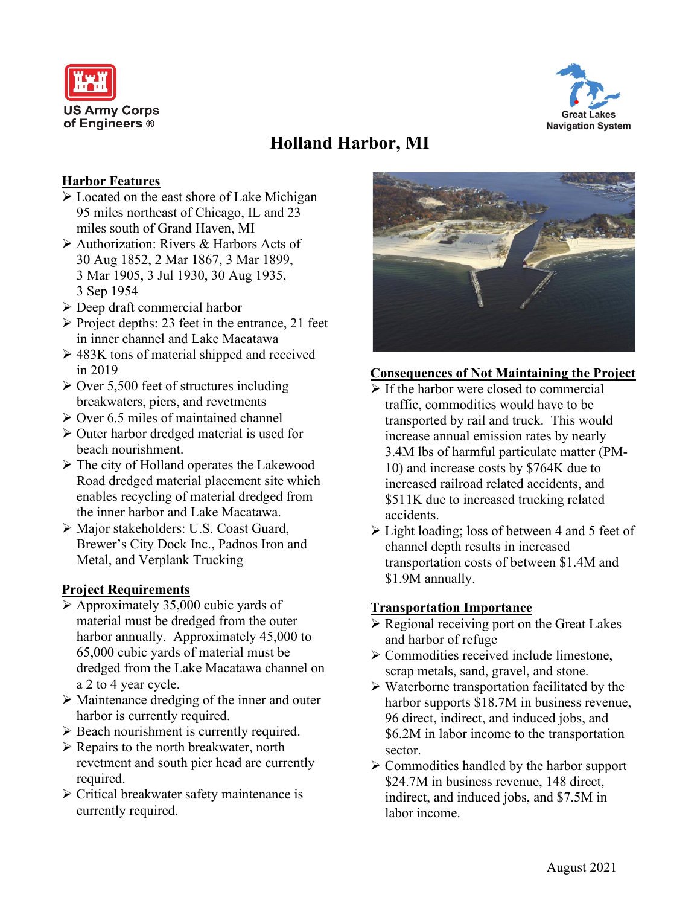



# **Holland Harbor, MI**

## **Harbor Features**

- Located on the east shore of Lake Michigan 95 miles northeast of Chicago, IL and 23 miles south of Grand Haven, MI
- Authorization: Rivers & Harbors Acts of 30 Aug 1852, 2 Mar 1867, 3 Mar 1899, 3 Mar 1905, 3 Jul 1930, 30 Aug 1935, 3 Sep 1954
- Deep draft commercial harbor
- $\triangleright$  Project depths: 23 feet in the entrance, 21 feet in inner channel and Lake Macatawa
- $\geq 483K$  tons of material shipped and received in 2019
- $\geq$  Over 5,500 feet of structures including breakwaters, piers, and revetments
- $\geq$  Over 6.5 miles of maintained channel
- $\triangleright$  Outer harbor dredged material is used for beach nourishment.
- $\triangleright$  The city of Holland operates the Lakewood Road dredged material placement site which enables recycling of material dredged from the inner harbor and Lake Macatawa.
- Major stakeholders: U.S. Coast Guard, Brewer's City Dock Inc., Padnos Iron and Metal, and Verplank Trucking

### **Project Requirements**

- $\triangleright$  Approximately 35,000 cubic yards of material must be dredged from the outer harbor annually. Approximately 45,000 to 65,000 cubic yards of material must be dredged from the Lake Macatawa channel on a 2 to 4 year cycle.
- Maintenance dredging of the inner and outer harbor is currently required.
- ▶ Beach nourishment is currently required.
- $\triangleright$  Repairs to the north breakwater, north revetment and south pier head are currently required.
- Critical breakwater safety maintenance is currently required.



# **Consequences of Not Maintaining the Project**

- $\triangleright$  If the harbor were closed to commercial traffic, commodities would have to be transported by rail and truck. This would increase annual emission rates by nearly 3.4M lbs of harmful particulate matter (PM-10) and increase costs by \$764K due to increased railroad related accidents, and \$511K due to increased trucking related accidents.
- Light loading; loss of between 4 and 5 feet of channel depth results in increased transportation costs of between \$1.4M and \$1.9M annually.

### **Transportation Importance**

- $\triangleright$  Regional receiving port on the Great Lakes and harbor of refuge
- Commodities received include limestone, scrap metals, sand, gravel, and stone.
- $\triangleright$  Waterborne transportation facilitated by the harbor supports \$18.7M in business revenue, 96 direct, indirect, and induced jobs, and \$6.2M in labor income to the transportation sector.
- $\triangleright$  Commodities handled by the harbor support \$24.7M in business revenue, 148 direct, indirect, and induced jobs, and \$7.5M in labor income.